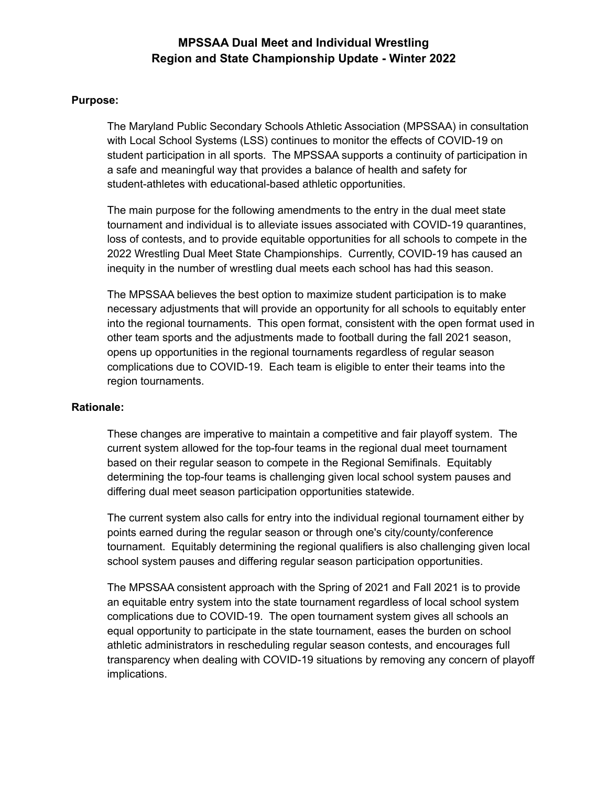#### **Purpose:**

The Maryland Public Secondary Schools Athletic Association (MPSSAA) in consultation with Local School Systems (LSS) continues to monitor the effects of COVID-19 on student participation in all sports. The MPSSAA supports a continuity of participation in a safe and meaningful way that provides a balance of health and safety for student-athletes with educational-based athletic opportunities.

The main purpose for the following amendments to the entry in the dual meet state tournament and individual is to alleviate issues associated with COVID-19 quarantines, loss of contests, and to provide equitable opportunities for all schools to compete in the 2022 Wrestling Dual Meet State Championships. Currently, COVID-19 has caused an inequity in the number of wrestling dual meets each school has had this season.

The MPSSAA believes the best option to maximize student participation is to make necessary adjustments that will provide an opportunity for all schools to equitably enter into the regional tournaments. This open format, consistent with the open format used in other team sports and the adjustments made to football during the fall 2021 season, opens up opportunities in the regional tournaments regardless of regular season complications due to COVID-19. Each team is eligible to enter their teams into the region tournaments.

#### **Rationale:**

These changes are imperative to maintain a competitive and fair playoff system. The current system allowed for the top-four teams in the regional dual meet tournament based on their regular season to compete in the Regional Semifinals. Equitably determining the top-four teams is challenging given local school system pauses and differing dual meet season participation opportunities statewide.

The current system also calls for entry into the individual regional tournament either by points earned during the regular season or through one's city/county/conference tournament. Equitably determining the regional qualifiers is also challenging given local school system pauses and differing regular season participation opportunities.

The MPSSAA consistent approach with the Spring of 2021 and Fall 2021 is to provide an equitable entry system into the state tournament regardless of local school system complications due to COVID-19. The open tournament system gives all schools an equal opportunity to participate in the state tournament, eases the burden on school athletic administrators in rescheduling regular season contests, and encourages full transparency when dealing with COVID-19 situations by removing any concern of playoff implications.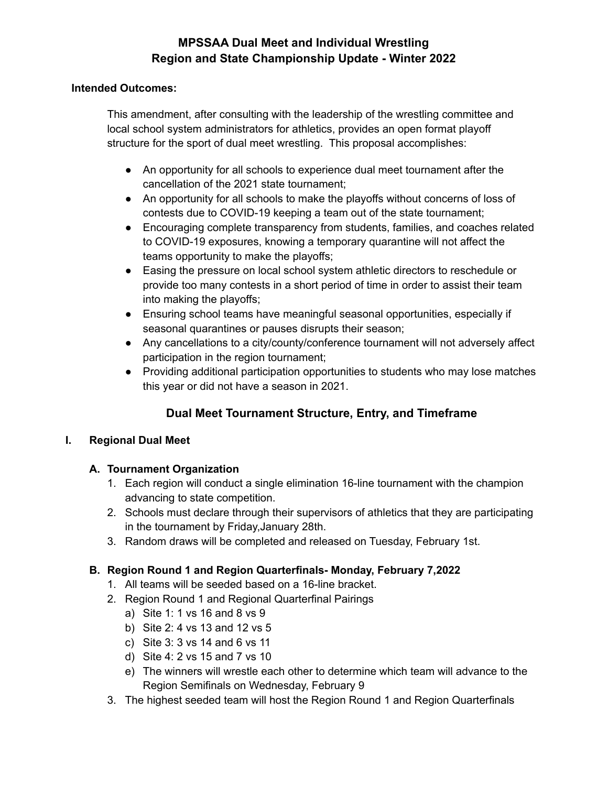#### **Intended Outcomes:**

This amendment, after consulting with the leadership of the wrestling committee and local school system administrators for athletics, provides an open format playoff structure for the sport of dual meet wrestling. This proposal accomplishes:

- An opportunity for all schools to experience dual meet tournament after the cancellation of the 2021 state tournament;
- An opportunity for all schools to make the playoffs without concerns of loss of contests due to COVID-19 keeping a team out of the state tournament;
- Encouraging complete transparency from students, families, and coaches related to COVID-19 exposures, knowing a temporary quarantine will not affect the teams opportunity to make the playoffs;
- Easing the pressure on local school system athletic directors to reschedule or provide too many contests in a short period of time in order to assist their team into making the playoffs;
- Ensuring school teams have meaningful seasonal opportunities, especially if seasonal quarantines or pauses disrupts their season;
- Any cancellations to a city/county/conference tournament will not adversely affect participation in the region tournament;
- Providing additional participation opportunities to students who may lose matches this year or did not have a season in 2021.

# **Dual Meet Tournament Structure, Entry, and Timeframe**

### **I. Regional Dual Meet**

### **A. Tournament Organization**

- 1. Each region will conduct a single elimination 16-line tournament with the champion advancing to state competition.
- 2. Schools must declare through their supervisors of athletics that they are participating in the tournament by Friday,January 28th.
- 3. Random draws will be completed and released on Tuesday, February 1st.

### **B. Region Round 1 and Region Quarterfinals- Monday, February 7,2022**

- 1. All teams will be seeded based on a 16-line bracket.
- 2. Region Round 1 and Regional Quarterfinal Pairings
	- a) Site 1: 1 vs 16 and 8 vs 9
	- b) Site 2: 4 vs 13 and 12 vs 5
	- c) Site 3: 3 vs 14 and 6 vs 11
	- d) Site 4: 2 vs 15 and 7 vs 10
	- e) The winners will wrestle each other to determine which team will advance to the Region Semifinals on Wednesday, February 9
- 3. The highest seeded team will host the Region Round 1 and Region Quarterfinals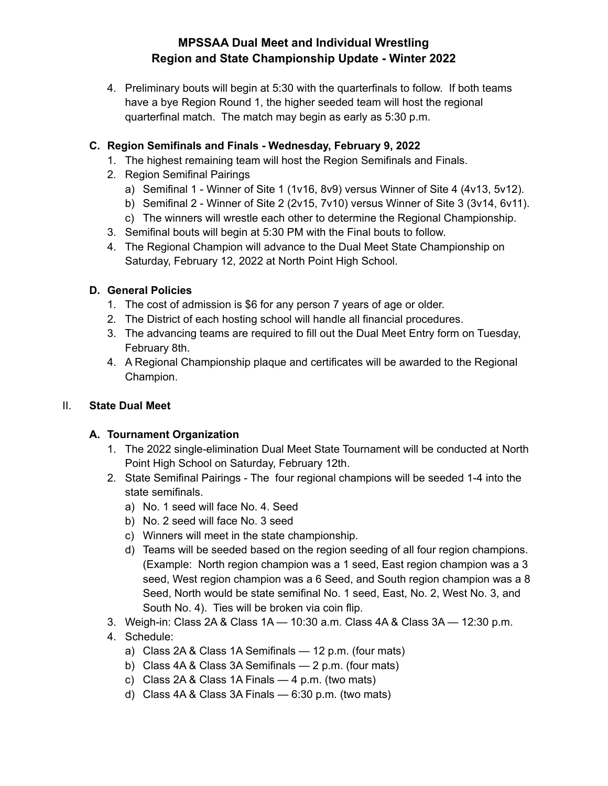4. Preliminary bouts will begin at 5:30 with the quarterfinals to follow. If both teams have a bye Region Round 1, the higher seeded team will host the regional quarterfinal match. The match may begin as early as 5:30 p.m.

### **C. Region Semifinals and Finals - Wednesday, February 9, 2022**

- 1. The highest remaining team will host the Region Semifinals and Finals.
- 2. Region Semifinal Pairings
	- a) Semifinal 1 Winner of Site 1 (1v16, 8v9) versus Winner of Site 4 (4v13, 5v12).
	- b) Semifinal 2 Winner of Site 2 (2v15, 7v10) versus Winner of Site 3 (3v14, 6v11).
	- c) The winners will wrestle each other to determine the Regional Championship.
- 3. Semifinal bouts will begin at 5:30 PM with the Final bouts to follow.
- 4. The Regional Champion will advance to the Dual Meet State Championship on Saturday, February 12, 2022 at North Point High School.

### **D. General Policies**

- 1. The cost of admission is \$6 for any person 7 years of age or older.
- 2. The District of each hosting school will handle all financial procedures.
- 3. The advancing teams are required to fill out the Dual Meet Entry form on Tuesday, February 8th.
- 4. A Regional Championship plaque and certificates will be awarded to the Regional Champion.

## II. **State Dual Meet**

### **A. Tournament Organization**

- 1. The 2022 single-elimination Dual Meet State Tournament will be conducted at North Point High School on Saturday, February 12th.
- 2. State Semifinal Pairings The four regional champions will be seeded 1-4 into the state semifinals.
	- a) No. 1 seed will face No. 4. Seed
	- b) No. 2 seed will face No. 3 seed
	- c) Winners will meet in the state championship.
	- d) Teams will be seeded based on the region seeding of all four region champions. (Example: North region champion was a 1 seed, East region champion was a 3 seed, West region champion was a 6 Seed, and South region champion was a 8 Seed, North would be state semifinal No. 1 seed, East, No. 2, West No. 3, and South No. 4). Ties will be broken via coin flip.
- 3. Weigh-in: Class 2A & Class 1A 10:30 a.m. Class 4A & Class 3A 12:30 p.m.
- 4. Schedule:
	- a) Class 2A & Class 1A Semifinals 12 p.m. (four mats)
	- b) Class 4A & Class 3A Semifinals 2 p.m. (four mats)
	- c) Class 2A & Class 1A Finals  $-4$  p.m. (two mats)
	- d) Class 4A & Class 3A Finals 6:30 p.m. (two mats)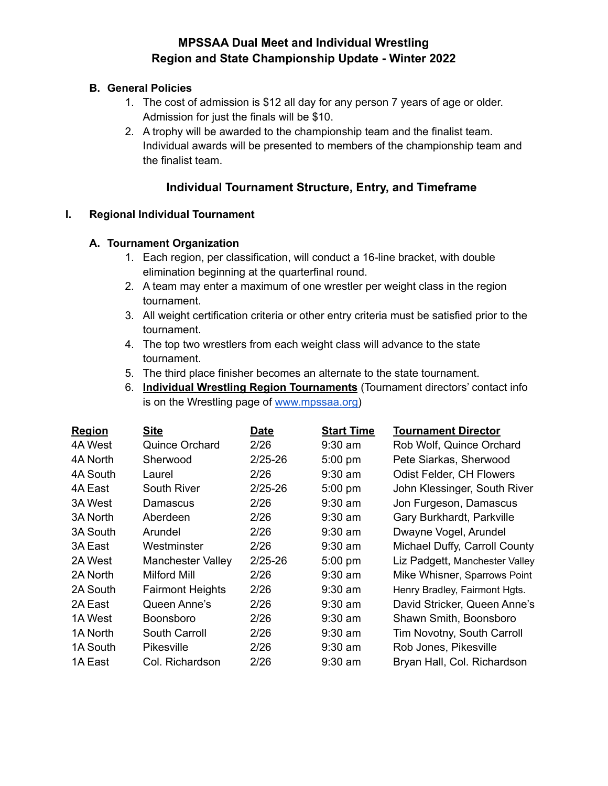### **B. General Policies**

- 1. The cost of admission is \$12 all day for any person 7 years of age or older. Admission for just the finals will be \$10.
- 2. A trophy will be awarded to the championship team and the finalist team. Individual awards will be presented to members of the championship team and the finalist team.

## **Individual Tournament Structure, Entry, and Timeframe**

#### **I. Regional Individual Tournament**

#### **A. Tournament Organization**

- 1. Each region, per classification, will conduct a 16-line bracket, with double elimination beginning at the quarterfinal round.
- 2. A team may enter a maximum of one wrestler per weight class in the region tournament.
- 3. All weight certification criteria or other entry criteria must be satisfied prior to the tournament.
- 4. The top two wrestlers from each weight class will advance to the state tournament.
- 5. The third place finisher becomes an alternate to the state tournament.
- 6. **Individual Wrestling Region Tournaments** (Tournament directors' contact info is on the Wrestling page of [www.mpssaa.org\)](http://www.mpssaa.org)

| <b>Region</b> | <b>Site</b>              | <b>Date</b> | <b>Start Time</b> | <b>Tournament Director</b>      |
|---------------|--------------------------|-------------|-------------------|---------------------------------|
| 4A West       | <b>Quince Orchard</b>    | 2/26        | $9:30$ am         | Rob Wolf, Quince Orchard        |
| 4A North      | Sherwood                 | $2/25 - 26$ | $5:00$ pm         | Pete Siarkas, Sherwood          |
| 4A South      | Laurel                   | 2/26        | $9:30$ am         | <b>Odist Felder, CH Flowers</b> |
| 4A East       | South River              | $2/25 - 26$ | 5:00 pm           | John Klessinger, South River    |
| 3A West       | Damascus                 | 2/26        | $9:30$ am         | Jon Furgeson, Damascus          |
| 3A North      | Aberdeen                 | 2/26        | $9:30$ am         | Gary Burkhardt, Parkville       |
| 3A South      | Arundel                  | 2/26        | $9:30$ am         | Dwayne Vogel, Arundel           |
| 3A East       | Westminster              | 2/26        | $9:30$ am         | Michael Duffy, Carroll County   |
| 2A West       | <b>Manchester Valley</b> | $2/25 - 26$ | 5:00 pm           | Liz Padgett, Manchester Valley  |
| 2A North      | Milford Mill             | 2/26        | $9:30$ am         | Mike Whisner, Sparrows Point    |
| 2A South      | <b>Fairmont Heights</b>  | 2/26        | $9:30$ am         | Henry Bradley, Fairmont Hgts.   |
| 2A East       | Queen Anne's             | 2/26        | $9:30$ am         | David Stricker, Queen Anne's    |
| 1A West       | <b>Boonsboro</b>         | 2/26        | $9:30$ am         | Shawn Smith, Boonsboro          |
| 1A North      | South Carroll            | 2/26        | $9:30$ am         | Tim Novotny, South Carroll      |
| 1A South      | <b>Pikesville</b>        | 2/26        | $9:30$ am         | Rob Jones, Pikesville           |
| 1A East       | Col. Richardson          | 2/26        | $9:30$ am         | Bryan Hall, Col. Richardson     |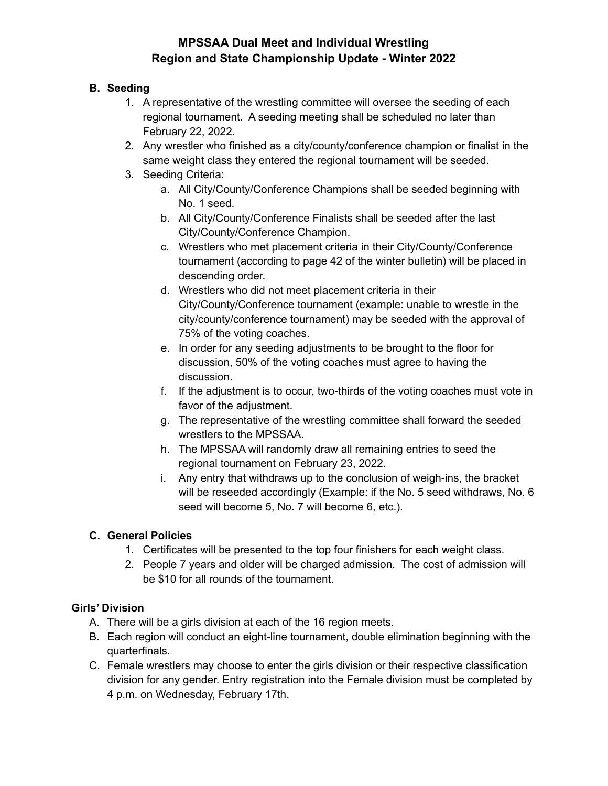### **B. Seeding**

- 1. A representative of the wrestling committee will oversee the seeding of each regional tournament. A seeding meeting shall be scheduled no later than February 22, 2022.
- 2. Any wrestler who finished as a city/county/conference champion or finalist in the same weight class they entered the regional tournament will be seeded.
- 3. Seeding Criteria:
	- a. All City/County/Conference Champions shall be seeded beginning with No. 1 seed.
	- b. All City/County/Conference Finalists shall be seeded after the last City/County/Conference Champion.
	- c. Wrestlers who met placement criteria in their City/County/Conference tournament (according to page 42 of the winter bulletin) will be placed in descending order.
	- d. Wrestlers who did not meet placement criteria in their City/County/Conference tournament (example: unable to wrestle in the city/county/conference tournament) may be seeded with the approval of 75% of the voting coaches.
	- e. In order for any seeding adjustments to be brought to the floor for discussion, 50% of the voting coaches must agree to having the discussion.
	- f. If the adjustment is to occur, two-thirds of the voting coaches must vote in favor of the adjustment.
	- g. The representative of the wrestling committee shall forward the seeded wrestlers to the MPSSAA.
	- h. The MPSSAA will randomly draw all remaining entries to seed the regional tournament on February 23, 2022.
	- i. Any entry that withdraws up to the conclusion of weigh-ins, the bracket will be reseeded accordingly (Example: if the No. 5 seed withdraws, No. 6 seed will become 5, No. 7 will become 6, etc.).

## **C. General Policies**

- 1. Certificates will be presented to the top four finishers for each weight class.
- 2. People 7 years and older will be charged admission. The cost of admission will be \$10 for all rounds of the tournament.

### **Girls' Division**

- A. There will be a girls division at each of the 16 region meets.
- B. Each region will conduct an eight-line tournament, double elimination beginning with the quarterfinals.
- C. Female wrestlers may choose to enter the girls division or their respective classification division for any gender. Entry registration into the Female division must be completed by 4 p.m. on Wednesday, February 17th.